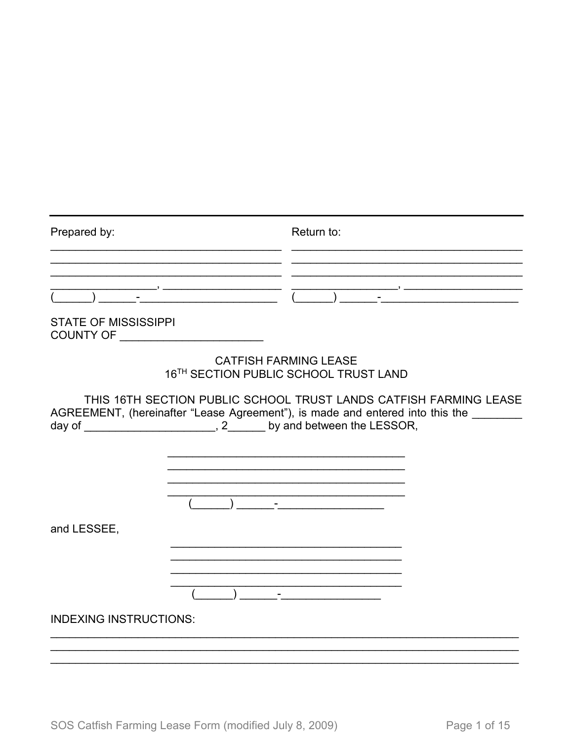| Prepared by:                |                | Return to:                                                                                                                                                                                                                           |
|-----------------------------|----------------|--------------------------------------------------------------------------------------------------------------------------------------------------------------------------------------------------------------------------------------|
|                             | $\overline{1}$ |                                                                                                                                                                                                                                      |
| <b>STATE OF MISSISSIPPI</b> |                |                                                                                                                                                                                                                                      |
|                             |                | <b>CATFISH FARMING LEASE</b><br>16TH SECTION PUBLIC SCHOOL TRUST LAND                                                                                                                                                                |
|                             |                | THIS 16TH SECTION PUBLIC SCHOOL TRUST LANDS CATFISH FARMING LEASE<br>AGREEMENT, (hereinafter "Lease Agreement"), is made and entered into this the                                                                                   |
|                             |                | day of _________________________, 2________ by and between the LESSOR,                                                                                                                                                               |
|                             |                | <u> 1989 - Jan Stein Harry Harry Harry Harry Harry Harry Harry Harry Harry Harry Harry Harry Harry Harry Harry Harry Harry Harry Harry Harry Harry Harry Harry Harry Harry Harry Harry Harry Harry Harry Harry Harry Harry Harry</u> |
| and LESSEE,                 |                |                                                                                                                                                                                                                                      |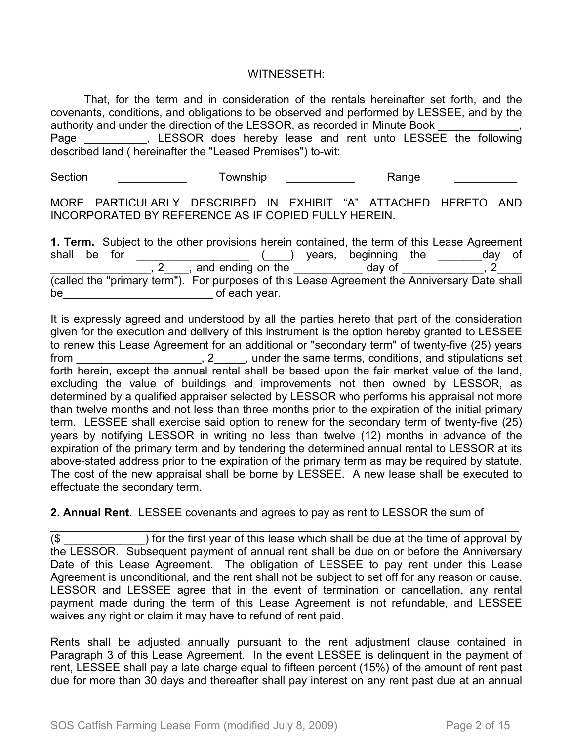### WITNESSETH:

That, for the term and in consideration of the rentals hereinafter set forth, and the covenants, conditions, and obligations to be observed and performed by LESSEE, and by the authority and under the direction of the LESSOR, as recorded in Minute Book Page \_\_\_\_\_\_\_\_\_, LESSOR does hereby lease and rent unto LESSEE the following described land ( hereinafter the "Leased Premises") to-wit:

Section \_\_\_\_\_\_\_\_\_\_\_\_\_ Township \_\_\_\_\_\_\_\_\_\_\_ Range \_\_\_\_\_\_\_\_\_\_\_

MORE PARTICULARLY DESCRIBED IN EXHIBIT "A" ATTACHED HERETO AND INCORPORATED BY REFERENCE AS IF COPIED FULLY HEREIN.

|       |        |  | <b>1. Term.</b> Subject to the other provisions herein contained, the term of this Lease Agreement |  |                      |  |     |    |
|-------|--------|--|----------------------------------------------------------------------------------------------------|--|----------------------|--|-----|----|
| shall | be for |  |                                                                                                    |  | years, beginning the |  | dav | of |
|       |        |  | , and ending on the                                                                                |  | day of               |  |     |    |
|       |        |  | (called the "primary term"). For purposes of this Lease Agreement the Anniversary Date shall       |  |                      |  |     |    |
| be    |        |  | of each year.                                                                                      |  |                      |  |     |    |

It is expressly agreed and understood by all the parties hereto that part of the consideration given for the execution and delivery of this instrument is the option hereby granted to LESSEE to renew this Lease Agreement for an additional or "secondary term" of twenty-five (25) years from \_\_\_\_\_\_\_\_\_\_\_\_\_\_\_\_\_\_\_\_, 2\_\_\_\_\_, under the same terms, conditions, and stipulations set forth herein, except the annual rental shall be based upon the fair market value of the land, excluding the value of buildings and improvements not then owned by LESSOR, as determined by a qualified appraiser selected by LESSOR who performs his appraisal not more than twelve months and not less than three months prior to the expiration of the initial primary term. LESSEE shall exercise said option to renew for the secondary term of twenty-five (25) years by notifying LESSOR in writing no less than twelve (12) months in advance of the expiration of the primary term and by tendering the determined annual rental to LESSOR at its above-stated address prior to the expiration of the primary term as may be required by statute. The cost of the new appraisal shall be borne by LESSEE. A new lease shall be executed to effectuate the secondary term.

## **2. Annual Rent.** LESSEE covenants and agrees to pay as rent to LESSOR the sum of

\_\_\_\_\_\_\_\_\_\_\_\_\_\_\_\_\_\_\_\_\_\_\_\_\_\_\_\_\_\_\_\_\_\_\_\_\_\_\_\_\_\_\_\_\_\_\_\_\_\_\_\_\_\_\_\_\_\_\_\_\_\_\_\_\_\_\_\_\_\_\_\_\_\_\_  $(\$$   $\qquad$  ) for the first year of this lease which shall be due at the time of approval by the LESSOR. Subsequent payment of annual rent shall be due on or before the Anniversary Date of this Lease Agreement. The obligation of LESSEE to pay rent under this Lease Agreement is unconditional, and the rent shall not be subject to set off for any reason or cause. LESSOR and LESSEE agree that in the event of termination or cancellation, any rental payment made during the term of this Lease Agreement is not refundable, and LESSEE waives any right or claim it may have to refund of rent paid.

Rents shall be adjusted annually pursuant to the rent adjustment clause contained in Paragraph 3 of this Lease Agreement. In the event LESSEE is delinquent in the payment of rent, LESSEE shall pay a late charge equal to fifteen percent (15%) of the amount of rent past due for more than 30 days and thereafter shall pay interest on any rent past due at an annual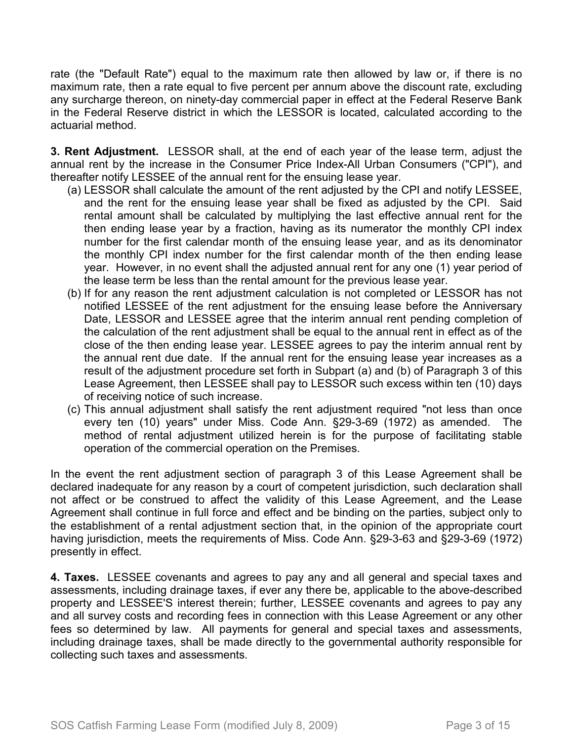rate (the "Default Rate") equal to the maximum rate then allowed by law or, if there is no maximum rate, then a rate equal to five percent per annum above the discount rate, excluding any surcharge thereon, on ninety-day commercial paper in effect at the Federal Reserve Bank in the Federal Reserve district in which the LESSOR is located, calculated according to the actuarial method.

**3. Rent Adjustment.** LESSOR shall, at the end of each year of the lease term, adjust the annual rent by the increase in the Consumer Price Index-All Urban Consumers ("CPI"), and thereafter notify LESSEE of the annual rent for the ensuing lease year.

- (a) LESSOR shall calculate the amount of the rent adjusted by the CPI and notify LESSEE, and the rent for the ensuing lease year shall be fixed as adjusted by the CPI. Said rental amount shall be calculated by multiplying the last effective annual rent for the then ending lease year by a fraction, having as its numerator the monthly CPI index number for the first calendar month of the ensuing lease year, and as its denominator the monthly CPI index number for the first calendar month of the then ending lease year. However, in no event shall the adjusted annual rent for any one (1) year period of the lease term be less than the rental amount for the previous lease year.
- (b) If for any reason the rent adjustment calculation is not completed or LESSOR has not notified LESSEE of the rent adjustment for the ensuing lease before the Anniversary Date, LESSOR and LESSEE agree that the interim annual rent pending completion of the calculation of the rent adjustment shall be equal to the annual rent in effect as of the close of the then ending lease year. LESSEE agrees to pay the interim annual rent by the annual rent due date. If the annual rent for the ensuing lease year increases as a result of the adjustment procedure set forth in Subpart (a) and (b) of Paragraph 3 of this Lease Agreement, then LESSEE shall pay to LESSOR such excess within ten (10) days of receiving notice of such increase.
- (c) This annual adjustment shall satisfy the rent adjustment required "not less than once every ten (10) years" under Miss. Code Ann. §29-3-69 (1972) as amended. The method of rental adjustment utilized herein is for the purpose of facilitating stable operation of the commercial operation on the Premises.

In the event the rent adjustment section of paragraph 3 of this Lease Agreement shall be declared inadequate for any reason by a court of competent jurisdiction, such declaration shall not affect or be construed to affect the validity of this Lease Agreement, and the Lease Agreement shall continue in full force and effect and be binding on the parties, subject only to the establishment of a rental adjustment section that, in the opinion of the appropriate court having jurisdiction, meets the requirements of Miss. Code Ann. §29-3-63 and §29-3-69 (1972) presently in effect.

**4. Taxes.** LESSEE covenants and agrees to pay any and all general and special taxes and assessments, including drainage taxes, if ever any there be, applicable to the above-described property and LESSEE'S interest therein; further, LESSEE covenants and agrees to pay any and all survey costs and recording fees in connection with this Lease Agreement or any other fees so determined by law. All payments for general and special taxes and assessments, including drainage taxes, shall be made directly to the governmental authority responsible for collecting such taxes and assessments.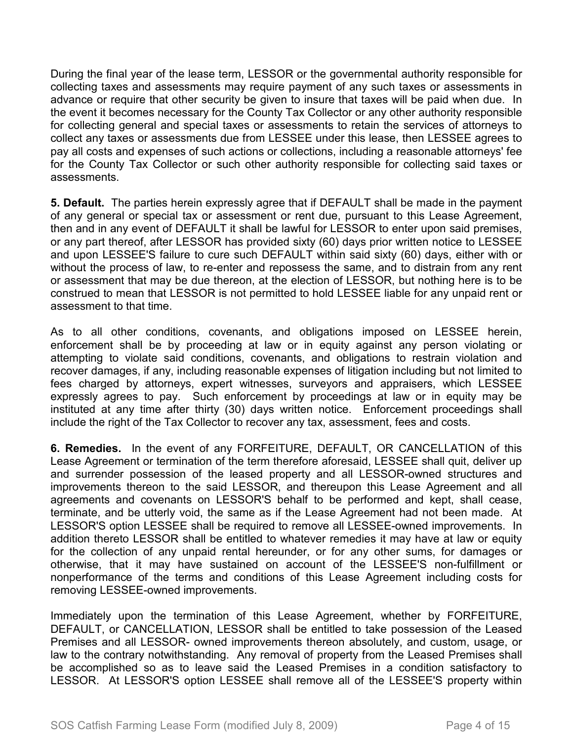During the final year of the lease term, LESSOR or the governmental authority responsible for collecting taxes and assessments may require payment of any such taxes or assessments in advance or require that other security be given to insure that taxes will be paid when due. In the event it becomes necessary for the County Tax Collector or any other authority responsible for collecting general and special taxes or assessments to retain the services of attorneys to collect any taxes or assessments due from LESSEE under this lease, then LESSEE agrees to pay all costs and expenses of such actions or collections, including a reasonable attorneys' fee for the County Tax Collector or such other authority responsible for collecting said taxes or assessments.

**5. Default.** The parties herein expressly agree that if DEFAULT shall be made in the payment of any general or special tax or assessment or rent due, pursuant to this Lease Agreement, then and in any event of DEFAULT it shall be lawful for LESSOR to enter upon said premises, or any part thereof, after LESSOR has provided sixty (60) days prior written notice to LESSEE and upon LESSEE'S failure to cure such DEFAULT within said sixty (60) days, either with or without the process of law, to re-enter and repossess the same, and to distrain from any rent or assessment that may be due thereon, at the election of LESSOR, but nothing here is to be construed to mean that LESSOR is not permitted to hold LESSEE liable for any unpaid rent or assessment to that time.

As to all other conditions, covenants, and obligations imposed on LESSEE herein, enforcement shall be by proceeding at law or in equity against any person violating or attempting to violate said conditions, covenants, and obligations to restrain violation and recover damages, if any, including reasonable expenses of litigation including but not limited to fees charged by attorneys, expert witnesses, surveyors and appraisers, which LESSEE expressly agrees to pay. Such enforcement by proceedings at law or in equity may be instituted at any time after thirty (30) days written notice. Enforcement proceedings shall include the right of the Tax Collector to recover any tax, assessment, fees and costs.

**6. Remedies.** In the event of any FORFEITURE, DEFAULT, OR CANCELLATION of this Lease Agreement or termination of the term therefore aforesaid, LESSEE shall quit, deliver up and surrender possession of the leased property and all LESSOR-owned structures and improvements thereon to the said LESSOR, and thereupon this Lease Agreement and all agreements and covenants on LESSOR'S behalf to be performed and kept, shall cease, terminate, and be utterly void, the same as if the Lease Agreement had not been made. At LESSOR'S option LESSEE shall be required to remove all LESSEE-owned improvements. In addition thereto LESSOR shall be entitled to whatever remedies it may have at law or equity for the collection of any unpaid rental hereunder, or for any other sums, for damages or otherwise, that it may have sustained on account of the LESSEE'S non-fulfillment or nonperformance of the terms and conditions of this Lease Agreement including costs for removing LESSEE-owned improvements.

Immediately upon the termination of this Lease Agreement, whether by FORFEITURE, DEFAULT, or CANCELLATION, LESSOR shall be entitled to take possession of the Leased Premises and all LESSOR- owned improvements thereon absolutely, and custom, usage, or law to the contrary notwithstanding. Any removal of property from the Leased Premises shall be accomplished so as to leave said the Leased Premises in a condition satisfactory to LESSOR. At LESSOR'S option LESSEE shall remove all of the LESSEE'S property within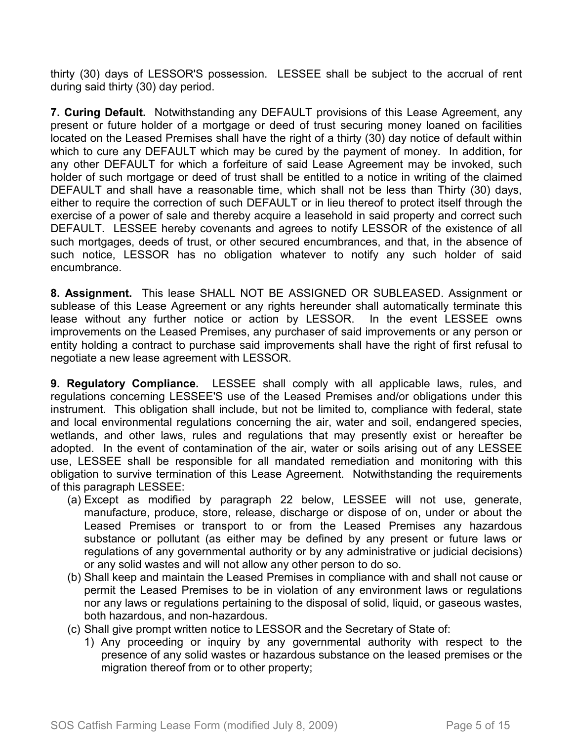thirty (30) days of LESSOR'S possession. LESSEE shall be subject to the accrual of rent during said thirty (30) day period.

**7. Curing Default.** Notwithstanding any DEFAULT provisions of this Lease Agreement, any present or future holder of a mortgage or deed of trust securing money loaned on facilities located on the Leased Premises shall have the right of a thirty (30) day notice of default within which to cure any DEFAULT which may be cured by the payment of money. In addition, for any other DEFAULT for which a forfeiture of said Lease Agreement may be invoked, such holder of such mortgage or deed of trust shall be entitled to a notice in writing of the claimed DEFAULT and shall have a reasonable time, which shall not be less than Thirty (30) days, either to require the correction of such DEFAULT or in lieu thereof to protect itself through the exercise of a power of sale and thereby acquire a leasehold in said property and correct such DEFAULT. LESSEE hereby covenants and agrees to notify LESSOR of the existence of all such mortgages, deeds of trust, or other secured encumbrances, and that, in the absence of such notice, LESSOR has no obligation whatever to notify any such holder of said encumbrance.

**8. Assignment.** This lease SHALL NOT BE ASSIGNED OR SUBLEASED. Assignment or sublease of this Lease Agreement or any rights hereunder shall automatically terminate this lease without any further notice or action by LESSOR. In the event LESSEE owns improvements on the Leased Premises, any purchaser of said improvements or any person or entity holding a contract to purchase said improvements shall have the right of first refusal to negotiate a new lease agreement with LESSOR.

**9. Regulatory Compliance.** LESSEE shall comply with all applicable laws, rules, and regulations concerning LESSEE'S use of the Leased Premises and/or obligations under this instrument. This obligation shall include, but not be limited to, compliance with federal, state and local environmental regulations concerning the air, water and soil, endangered species, wetlands, and other laws, rules and regulations that may presently exist or hereafter be adopted. In the event of contamination of the air, water or soils arising out of any LESSEE use, LESSEE shall be responsible for all mandated remediation and monitoring with this obligation to survive termination of this Lease Agreement. Notwithstanding the requirements of this paragraph LESSEE:

- (a) Except as modified by paragraph 22 below, LESSEE will not use, generate, manufacture, produce, store, release, discharge or dispose of on, under or about the Leased Premises or transport to or from the Leased Premises any hazardous substance or pollutant (as either may be defined by any present or future laws or regulations of any governmental authority or by any administrative or judicial decisions) or any solid wastes and will not allow any other person to do so.
- (b) Shall keep and maintain the Leased Premises in compliance with and shall not cause or permit the Leased Premises to be in violation of any environment laws or regulations nor any laws or regulations pertaining to the disposal of solid, liquid, or gaseous wastes, both hazardous, and non-hazardous.
- (c) Shall give prompt written notice to LESSOR and the Secretary of State of:
	- 1) Any proceeding or inquiry by any governmental authority with respect to the presence of any solid wastes or hazardous substance on the leased premises or the migration thereof from or to other property;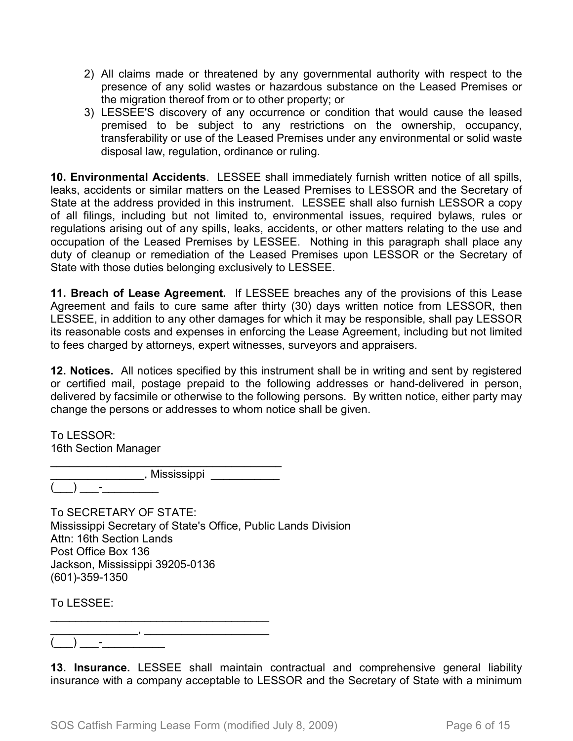- 2) All claims made or threatened by any governmental authority with respect to the presence of any solid wastes or hazardous substance on the Leased Premises or the migration thereof from or to other property; or
- 3) LESSEE'S discovery of any occurrence or condition that would cause the leased premised to be subject to any restrictions on the ownership, occupancy, transferability or use of the Leased Premises under any environmental or solid waste disposal law, regulation, ordinance or ruling.

**10. Environmental Accidents**. LESSEE shall immediately furnish written notice of all spills, leaks, accidents or similar matters on the Leased Premises to LESSOR and the Secretary of State at the address provided in this instrument. LESSEE shall also furnish LESSOR a copy of all filings, including but not limited to, environmental issues, required bylaws, rules or regulations arising out of any spills, leaks, accidents, or other matters relating to the use and occupation of the Leased Premises by LESSEE. Nothing in this paragraph shall place any duty of cleanup or remediation of the Leased Premises upon LESSOR or the Secretary of State with those duties belonging exclusively to LESSEE.

**11. Breach of Lease Agreement.** If LESSEE breaches any of the provisions of this Lease Agreement and fails to cure same after thirty (30) days written notice from LESSOR, then LESSEE, in addition to any other damages for which it may be responsible, shall pay LESSOR its reasonable costs and expenses in enforcing the Lease Agreement, including but not limited to fees charged by attorneys, expert witnesses, surveyors and appraisers.

**12. Notices.** All notices specified by this instrument shall be in writing and sent by registered or certified mail, postage prepaid to the following addresses or hand-delivered in person, delivered by facsimile or otherwise to the following persons. By written notice, either party may change the persons or addresses to whom notice shall be given.

To LESSOR: 16th Section Manager

\_\_\_\_\_\_\_\_\_\_\_\_\_\_\_\_\_\_\_\_\_\_\_\_\_\_\_\_\_\_\_\_\_\_\_\_\_ \_\_\_\_\_\_\_\_\_\_\_\_\_\_\_\_\_\_, Mississippi \_\_\_\_\_\_\_\_\_\_\_\_\_ (\_\_\_) \_\_\_-\_\_\_\_\_\_\_\_\_

To SECRETARY OF STATE: Mississippi Secretary of State's Office, Public Lands Division Attn: 16th Section Lands Post Office Box 136 Jackson, Mississippi 39205-0136 (601)-359-1350

To LESSEE:

\_\_\_\_\_\_\_\_\_\_\_\_\_\_, \_\_\_\_\_\_\_\_\_\_\_\_\_\_\_\_\_\_\_\_  $\begin{pmatrix} \begin{pmatrix} 0 & 1 \end{pmatrix} & \begin{pmatrix} 0 & 1 \end{pmatrix} & \begin{pmatrix} 0 & 1 \end{pmatrix} & \begin{pmatrix} 0 & 1 \end{pmatrix} & \begin{pmatrix} 0 & 1 \end{pmatrix} & \begin{pmatrix} 0 & 1 \end{pmatrix} & \begin{pmatrix} 0 & 1 \end{pmatrix} & \begin{pmatrix} 0 & 1 \end{pmatrix} & \begin{pmatrix} 0 & 1 \end{pmatrix} & \begin{pmatrix} 0 & 1 \end{pmatrix} & \begin{pmatrix} 0 & 1 \end{pmatrix} & \begin{pmatrix} 0 & 1 \end{pmatrix$ 

\_\_\_\_\_\_\_\_\_\_\_\_\_\_\_\_\_\_\_\_\_\_\_\_\_\_\_\_\_\_\_\_\_\_\_

**13. Insurance.** LESSEE shall maintain contractual and comprehensive general liability insurance with a company acceptable to LESSOR and the Secretary of State with a minimum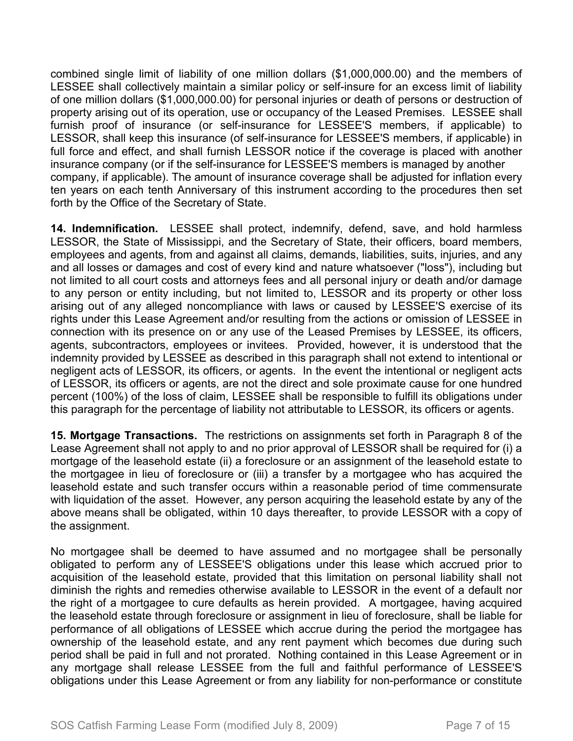combined single limit of liability of one million dollars (\$1,000,000.00) and the members of LESSEE shall collectively maintain a similar policy or self-insure for an excess limit of liability of one million dollars (\$1,000,000.00) for personal injuries or death of persons or destruction of property arising out of its operation, use or occupancy of the Leased Premises. LESSEE shall furnish proof of insurance (or self-insurance for LESSEE'S members, if applicable) to LESSOR, shall keep this insurance (of self-insurance for LESSEE'S members, if applicable) in full force and effect, and shall furnish LESSOR notice if the coverage is placed with another insurance company (or if the self-insurance for LESSEE'S members is managed by another company, if applicable). The amount of insurance coverage shall be adjusted for inflation every ten years on each tenth Anniversary of this instrument according to the procedures then set forth by the Office of the Secretary of State.

**14. Indemnification.** LESSEE shall protect, indemnify, defend, save, and hold harmless LESSOR, the State of Mississippi, and the Secretary of State, their officers, board members, employees and agents, from and against all claims, demands, liabilities, suits, injuries, and any and all losses or damages and cost of every kind and nature whatsoever ("loss"), including but not limited to all court costs and attorneys fees and all personal injury or death and/or damage to any person or entity including, but not limited to, LESSOR and its property or other loss arising out of any alleged noncompliance with laws or caused by LESSEE'S exercise of its rights under this Lease Agreement and/or resulting from the actions or omission of LESSEE in connection with its presence on or any use of the Leased Premises by LESSEE, its officers, agents, subcontractors, employees or invitees. Provided, however, it is understood that the indemnity provided by LESSEE as described in this paragraph shall not extend to intentional or negligent acts of LESSOR, its officers, or agents. In the event the intentional or negligent acts of LESSOR, its officers or agents, are not the direct and sole proximate cause for one hundred percent (100%) of the loss of claim, LESSEE shall be responsible to fulfill its obligations under this paragraph for the percentage of liability not attributable to LESSOR, its officers or agents.

**15. Mortgage Transactions.** The restrictions on assignments set forth in Paragraph 8 of the Lease Agreement shall not apply to and no prior approval of LESSOR shall be required for (i) a mortgage of the leasehold estate (ii) a foreclosure or an assignment of the leasehold estate to the mortgagee in lieu of foreclosure or (iii) a transfer by a mortgagee who has acquired the leasehold estate and such transfer occurs within a reasonable period of time commensurate with liquidation of the asset. However, any person acquiring the leasehold estate by any of the above means shall be obligated, within 10 days thereafter, to provide LESSOR with a copy of the assignment.

No mortgagee shall be deemed to have assumed and no mortgagee shall be personally obligated to perform any of LESSEE'S obligations under this lease which accrued prior to acquisition of the leasehold estate, provided that this limitation on personal liability shall not diminish the rights and remedies otherwise available to LESSOR in the event of a default nor the right of a mortgagee to cure defaults as herein provided. A mortgagee, having acquired the leasehold estate through foreclosure or assignment in lieu of foreclosure, shall be liable for performance of all obligations of LESSEE which accrue during the period the mortgagee has ownership of the leasehold estate, and any rent payment which becomes due during such period shall be paid in full and not prorated. Nothing contained in this Lease Agreement or in any mortgage shall release LESSEE from the full and faithful performance of LESSEE'S obligations under this Lease Agreement or from any liability for non-performance or constitute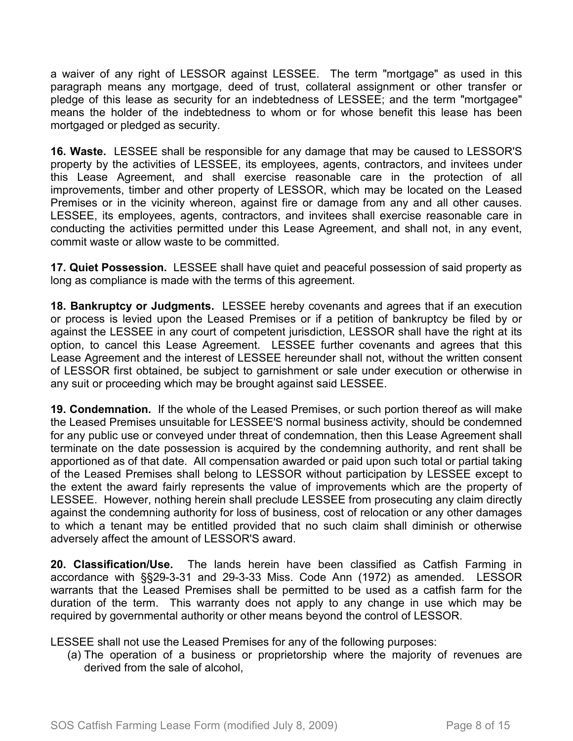a waiver of any right of LESSOR against LESSEE. The term "mortgage" as used in this paragraph means any mortgage, deed of trust, collateral assignment or other transfer or pledge of this lease as security for an indebtedness of LESSEE; and the term "mortgagee" means the holder of the indebtedness to whom or for whose benefit this lease has been mortgaged or pledged as security.

**16. Waste.** LESSEE shall be responsible for any damage that may be caused to LESSOR'S property by the activities of LESSEE, its employees, agents, contractors, and invitees under this Lease Agreement, and shall exercise reasonable care in the protection of all improvements, timber and other property of LESSOR, which may be located on the Leased Premises or in the vicinity whereon, against fire or damage from any and all other causes. LESSEE, its employees, agents, contractors, and invitees shall exercise reasonable care in conducting the activities permitted under this Lease Agreement, and shall not, in any event, commit waste or allow waste to be committed.

**17. Quiet Possession.** LESSEE shall have quiet and peaceful possession of said property as long as compliance is made with the terms of this agreement.

**18. Bankruptcy or Judgments.** LESSEE hereby covenants and agrees that if an execution or process is levied upon the Leased Premises or if a petition of bankruptcy be filed by or against the LESSEE in any court of competent jurisdiction, LESSOR shall have the right at its option, to cancel this Lease Agreement. LESSEE further covenants and agrees that this Lease Agreement and the interest of LESSEE hereunder shall not, without the written consent of LESSOR first obtained, be subject to garnishment or sale under execution or otherwise in any suit or proceeding which may be brought against said LESSEE.

**19. Condemnation.** If the whole of the Leased Premises, or such portion thereof as will make the Leased Premises unsuitable for LESSEE'S normal business activity, should be condemned for any public use or conveyed under threat of condemnation, then this Lease Agreement shall terminate on the date possession is acquired by the condemning authority, and rent shall be apportioned as of that date. All compensation awarded or paid upon such total or partial taking of the Leased Premises shall belong to LESSOR without participation by LESSEE except to the extent the award fairly represents the value of improvements which are the property of LESSEE. However, nothing herein shall preclude LESSEE from prosecuting any claim directly against the condemning authority for loss of business, cost of relocation or any other damages to which a tenant may be entitled provided that no such claim shall diminish or otherwise adversely affect the amount of LESSOR'S award.

**20. Classification/Use.** The lands herein have been classified as Catfish Farming in accordance with §§29-3-31 and 29-3-33 Miss. Code Ann (1972) as amended. LESSOR warrants that the Leased Premises shall be permitted to be used as a catfish farm for the duration of the term. This warranty does not apply to any change in use which may be required by governmental authority or other means beyond the control of LESSOR.

LESSEE shall not use the Leased Premises for any of the following purposes:

(a) The operation of a business or proprietorship where the majority of revenues are derived from the sale of alcohol,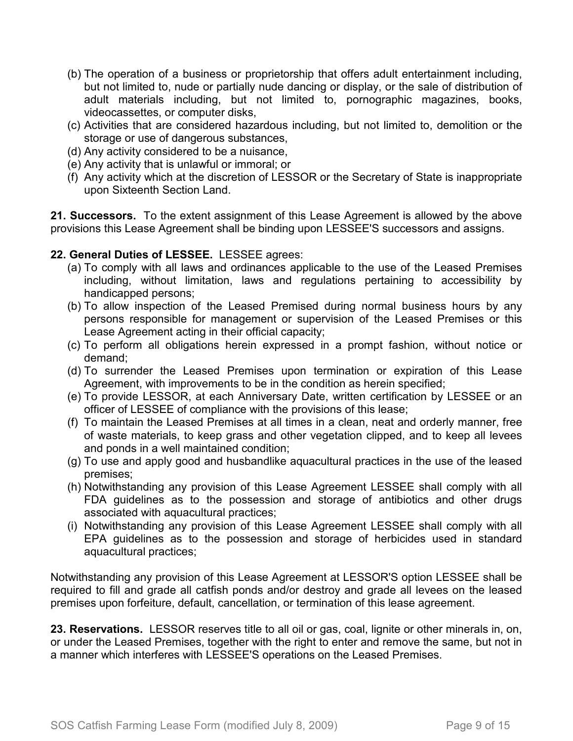- (b) The operation of a business or proprietorship that offers adult entertainment including, but not limited to, nude or partially nude dancing or display, or the sale of distribution of adult materials including, but not limited to, pornographic magazines, books, videocassettes, or computer disks,
- (c) Activities that are considered hazardous including, but not limited to, demolition or the storage or use of dangerous substances,
- (d) Any activity considered to be a nuisance,
- (e) Any activity that is unlawful or immoral; or
- (f) Any activity which at the discretion of LESSOR or the Secretary of State is inappropriate upon Sixteenth Section Land.

**21. Successors.** To the extent assignment of this Lease Agreement is allowed by the above provisions this Lease Agreement shall be binding upon LESSEE'S successors and assigns.

## **22. General Duties of LESSEE.** LESSEE agrees:

- (a) To comply with all laws and ordinances applicable to the use of the Leased Premises including, without limitation, laws and regulations pertaining to accessibility by handicapped persons;
- (b) To allow inspection of the Leased Premised during normal business hours by any persons responsible for management or supervision of the Leased Premises or this Lease Agreement acting in their official capacity;
- (c) To perform all obligations herein expressed in a prompt fashion, without notice or demand;
- (d) To surrender the Leased Premises upon termination or expiration of this Lease Agreement, with improvements to be in the condition as herein specified;
- (e) To provide LESSOR, at each Anniversary Date, written certification by LESSEE or an officer of LESSEE of compliance with the provisions of this lease;
- (f) To maintain the Leased Premises at all times in a clean, neat and orderly manner, free of waste materials, to keep grass and other vegetation clipped, and to keep all levees and ponds in a well maintained condition;
- (g) To use and apply good and husbandlike aquacultural practices in the use of the leased premises;
- (h) Notwithstanding any provision of this Lease Agreement LESSEE shall comply with all FDA guidelines as to the possession and storage of antibiotics and other drugs associated with aquacultural practices;
- (i) Notwithstanding any provision of this Lease Agreement LESSEE shall comply with all EPA guidelines as to the possession and storage of herbicides used in standard aquacultural practices;

Notwithstanding any provision of this Lease Agreement at LESSOR'S option LESSEE shall be required to fill and grade all catfish ponds and/or destroy and grade all levees on the leased premises upon forfeiture, default, cancellation, or termination of this lease agreement.

**23. Reservations.** LESSOR reserves title to all oil or gas, coal, lignite or other minerals in, on, or under the Leased Premises, together with the right to enter and remove the same, but not in a manner which interferes with LESSEE'S operations on the Leased Premises.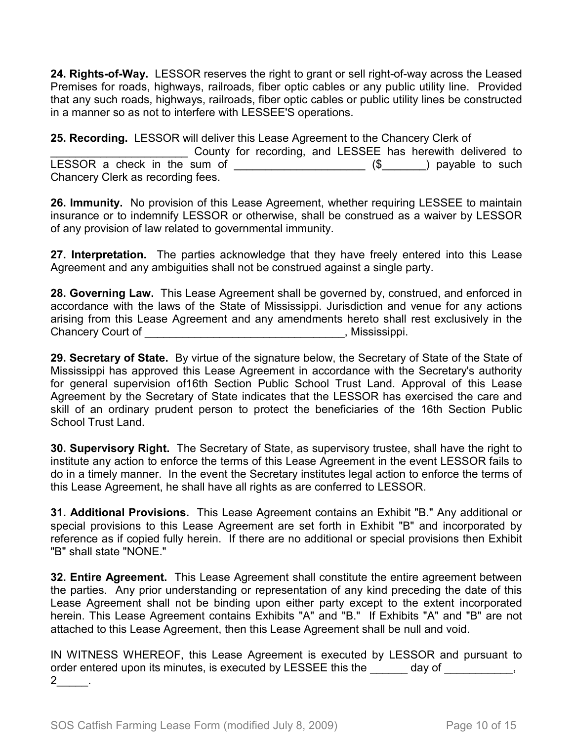**24. Rights-of-Way.** LESSOR reserves the right to grant or sell right-of-way across the Leased Premises for roads, highways, railroads, fiber optic cables or any public utility line. Provided that any such roads, highways, railroads, fiber optic cables or public utility lines be constructed in a manner so as not to interfere with LESSEE'S operations.

**25. Recording.** LESSOR will deliver this Lease Agreement to the Chancery Clerk of County for recording, and LESSEE has herewith delivered to LESSOR a check in the sum of  $\frac{1}{\frac{1}{2} + \frac{1}{2} + \frac{1}{2}}$  (\$ $\frac{1}{2}$ ) payable to such Chancery Clerk as recording fees.

**26. Immunity.** No provision of this Lease Agreement, whether requiring LESSEE to maintain insurance or to indemnify LESSOR or otherwise, shall be construed as a waiver by LESSOR of any provision of law related to governmental immunity.

**27. Interpretation.** The parties acknowledge that they have freely entered into this Lease Agreement and any ambiguities shall not be construed against a single party.

**28. Governing Law.** This Lease Agreement shall be governed by, construed, and enforced in accordance with the laws of the State of Mississippi. Jurisdiction and venue for any actions arising from this Lease Agreement and any amendments hereto shall rest exclusively in the Chancery Court of \_\_\_\_\_\_\_\_\_\_\_\_\_\_\_\_\_\_\_\_\_\_\_\_\_\_\_\_\_\_\_\_, Mississippi.

**29. Secretary of State.** By virtue of the signature below, the Secretary of State of the State of Mississippi has approved this Lease Agreement in accordance with the Secretary's authority for general supervision of16th Section Public School Trust Land. Approval of this Lease Agreement by the Secretary of State indicates that the LESSOR has exercised the care and skill of an ordinary prudent person to protect the beneficiaries of the 16th Section Public School Trust Land.

**30. Supervisory Right.** The Secretary of State, as supervisory trustee, shall have the right to institute any action to enforce the terms of this Lease Agreement in the event LESSOR fails to do in a timely manner. In the event the Secretary institutes legal action to enforce the terms of this Lease Agreement, he shall have all rights as are conferred to LESSOR.

**31. Additional Provisions.** This Lease Agreement contains an Exhibit "B." Any additional or special provisions to this Lease Agreement are set forth in Exhibit "B" and incorporated by reference as if copied fully herein. If there are no additional or special provisions then Exhibit "B" shall state "NONE."

**32. Entire Agreement.** This Lease Agreement shall constitute the entire agreement between the parties. Any prior understanding or representation of any kind preceding the date of this Lease Agreement shall not be binding upon either party except to the extent incorporated herein. This Lease Agreement contains Exhibits "A" and "B." If Exhibits "A" and "B" are not attached to this Lease Agreement, then this Lease Agreement shall be null and void.

IN WITNESS WHEREOF, this Lease Agreement is executed by LESSOR and pursuant to order entered upon its minutes, is executed by LESSEE this the \_\_\_\_\_\_ day of \_\_\_\_\_\_\_\_\_,  $2$  .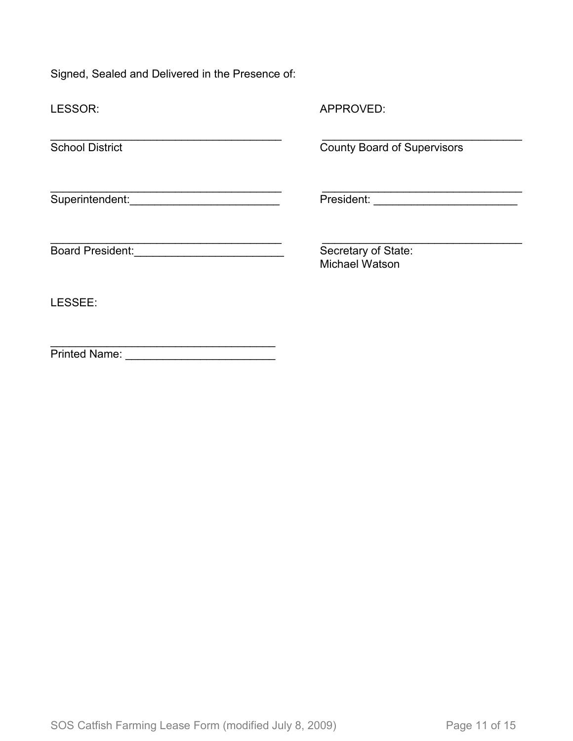Signed, Sealed and Delivered in the Presence of:

| LESSOR:                                                                                                         | APPROVED:                                    |  |  |  |
|-----------------------------------------------------------------------------------------------------------------|----------------------------------------------|--|--|--|
| <b>School District</b>                                                                                          | <b>County Board of Supervisors</b>           |  |  |  |
| Superintendent: National Contract of Contract of Contract of Contract of Contract of Contract of Contract of Co |                                              |  |  |  |
| <b>Board President:</b><br><u> 1980 - Andrea Stationer, fransk politiker og det</u>                             | Secretary of State:<br><b>Michael Watson</b> |  |  |  |
| LESSEE:                                                                                                         |                                              |  |  |  |
| <b>Printed Name:</b>                                                                                            |                                              |  |  |  |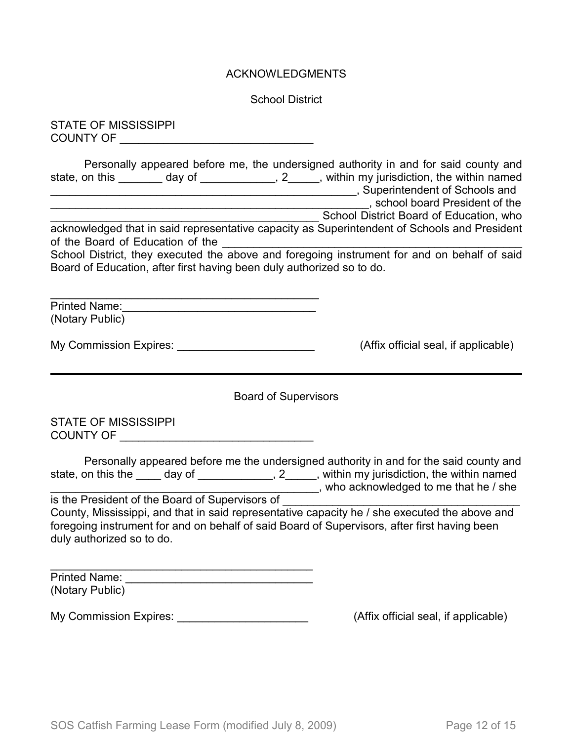#### ACKNOWLEDGMENTS

School District

STATE OF MISSISSIPPI COUNTY OF \_\_\_\_\_\_\_\_\_\_\_\_\_\_\_\_\_\_\_\_\_\_\_\_\_\_\_\_\_\_\_

| Personally appeared before me, the undersigned authority in and for said county and                                                                                  |                                             |
|----------------------------------------------------------------------------------------------------------------------------------------------------------------------|---------------------------------------------|
| state, on this<br>day of                                                                                                                                             | 2, within my jurisdiction, the within named |
|                                                                                                                                                                      | , Superintendent of Schools and             |
|                                                                                                                                                                      | , school board President of the             |
|                                                                                                                                                                      | School District Board of Education, who     |
| acknowledged that in said representative capacity as Superintendent of Schools and President                                                                         |                                             |
| of the Board of Education of the                                                                                                                                     |                                             |
| School District, they executed the above and foregoing instrument for and on behalf of said<br>Board of Education, after first having been duly authorized so to do. |                                             |
|                                                                                                                                                                      |                                             |

Printed Name:\_\_\_\_\_\_\_\_\_\_\_\_\_\_\_\_\_\_\_\_\_\_\_\_\_\_\_\_\_\_\_ (Notary Public)

My Commission Expires: \_\_\_\_\_\_\_\_\_\_\_\_\_\_\_\_\_\_\_\_\_\_\_\_\_\_\_\_\_\_\_(Affix official seal, if applicable)

Board of Supervisors

STATE OF MISSISSIPPI COUNTY OF \_\_\_\_\_\_\_\_\_\_\_\_\_\_\_\_\_\_\_\_\_\_\_\_\_\_\_\_\_\_\_

|                                                 | Personally appeared before me the undersigned authority in and for the said county and |
|-------------------------------------------------|----------------------------------------------------------------------------------------|
| state, on this the<br>day of                    | , within my jurisdiction, the within named<br>$2^{\circ}$                              |
|                                                 | , who acknowledged to me that he / she                                                 |
| is the President of the Board of Supervisors of |                                                                                        |

County, Mississippi, and that in said representative capacity he / she executed the above and foregoing instrument for and on behalf of said Board of Supervisors, after first having been duly authorized so to do.

| <b>Printed Name:</b> |  |
|----------------------|--|
| (Notary Public)      |  |

My Commission Expires: \_\_\_\_\_\_\_\_\_\_\_\_\_\_\_\_\_\_\_\_\_\_\_\_\_\_\_\_\_\_\_(Affix official seal, if applicable)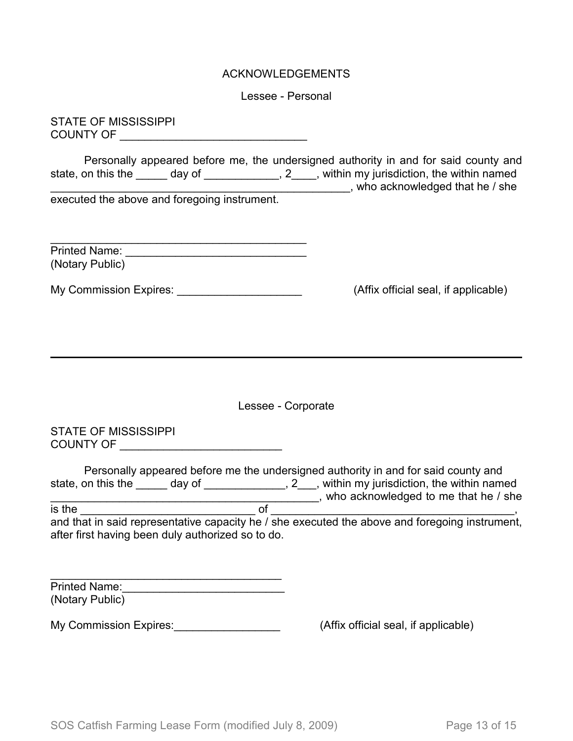#### ACKNOWLEDGEMENTS

Lessee - Personal

STATE OF MISSISSIPPI COUNTY OF \_\_\_\_\_\_\_\_\_\_\_\_\_\_\_\_\_\_\_\_\_\_\_\_\_\_\_\_\_\_

Personally appeared before me, the undersigned authority in and for said county and state, on this the \_\_\_\_\_ day of \_\_\_\_\_\_\_\_\_\_\_\_, 2\_\_\_\_, within my jurisdiction, the within named state, on this the \_\_\_\_\_\_ day of \_\_\_\_\_\_\_\_\_\_\_\_\_, 2\_\_\_\_, within my jurisdiction, the within named \_\_\_\_\_\_\_\_\_\_\_\_\_\_\_\_\_\_\_\_\_\_\_\_\_\_\_\_\_\_\_\_\_\_\_\_\_\_\_\_\_\_\_\_\_\_\_\_, who acknowledged that he / she executed the above and foregoing instrument.

| <b>Printed Name:</b> |  |
|----------------------|--|
| (Notary Public)      |  |

My Commission Expires: \_\_\_\_\_\_\_\_\_\_\_\_\_\_\_\_\_\_\_\_\_\_\_\_\_\_\_\_\_(Affix official seal, if applicable)

Lessee - Corporate

STATE OF MISSISSIPPI COUNTY OF \_\_\_\_\_\_\_\_\_\_\_\_\_\_\_\_\_\_\_\_\_\_\_\_\_\_

|                                                   |        | Personally appeared before me the undersigned authority in and for said county and             |
|---------------------------------------------------|--------|------------------------------------------------------------------------------------------------|
| state, on this the                                | day of | , 2, within my jurisdiction, the within named                                                  |
|                                                   |        | who acknowledged to me that he / she                                                           |
| is the                                            |        |                                                                                                |
|                                                   |        | and that in said representative capacity he / she executed the above and foregoing instrument, |
| after first having been duly authorized so to do. |        |                                                                                                |

| <b>Printed Name:</b> |  |
|----------------------|--|
| (Notary Public)      |  |

My Commission Expires:  $\blacksquare$ 

 $\overline{\phantom{a}}$  , and the set of the set of the set of the set of the set of the set of the set of the set of the set of the set of the set of the set of the set of the set of the set of the set of the set of the set of the s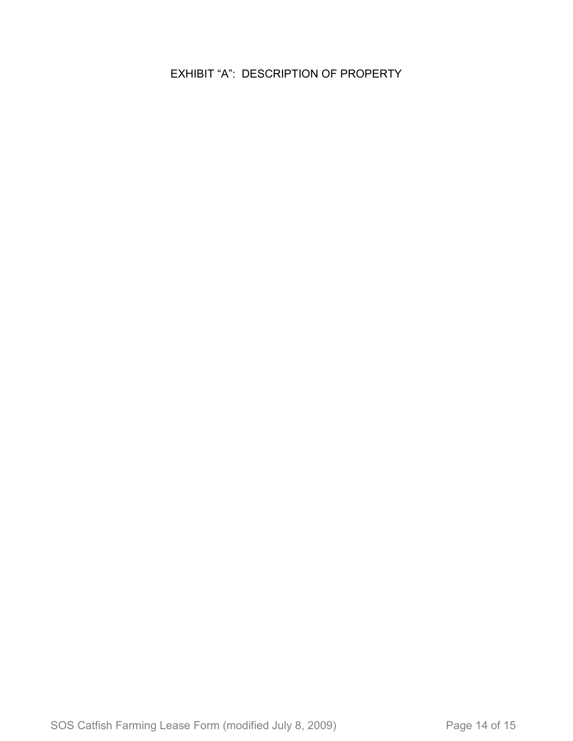EXHIBIT "A": DESCRIPTION OF PROPERTY